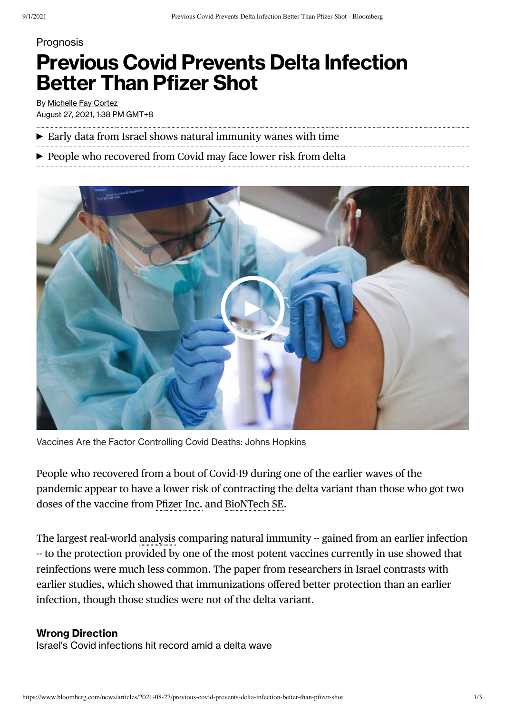## **Prognosis**

## **Previous Covid Prevents Delta Infection Better Than Pfizer Shot**

By [Michelle](https://www.bloomberg.com/authors/ABn_Vbe7wIE/michelle-f-cortez) Fay Cortez August 27, 2021, 1:38 PM GMT+8

- $\blacktriangleright$  Early data from Israel shows natural immunity wanes with time
- ▶ People who recovered from Covid may face lower risk from delta



Vaccines Are the Factor Controlling Covid Deaths: Johns Hopkins

People who recovered from a bout of Covid-19 during one of the earlier waves of the pandemic appear to have a lower risk of contracting the delta variant than those who got two doses of the vaccine from [Pfizer](https://www.bloomberg.com/quote/PFE:US) Inc. and [BioNTech](https://www.bloomberg.com/quote/BNTX:US) SE.

The largest real-world [analysis](https://www.medrxiv.org/content/10.1101/2021.08.24.21262415v1.full.pdf) comparing natural immunity -- gained from an earlier infection -- to the protection provided by one of the most potent vaccines currently in use showed that reinfections were much less common. The paper from researchers in Israel contrasts with earlier studies, which showed that immunizations offered better protection than an earlier infection, though those studies were not of the delta variant.

## **Wrong Direction**

Israel's Covid infections hit record amid a delta wave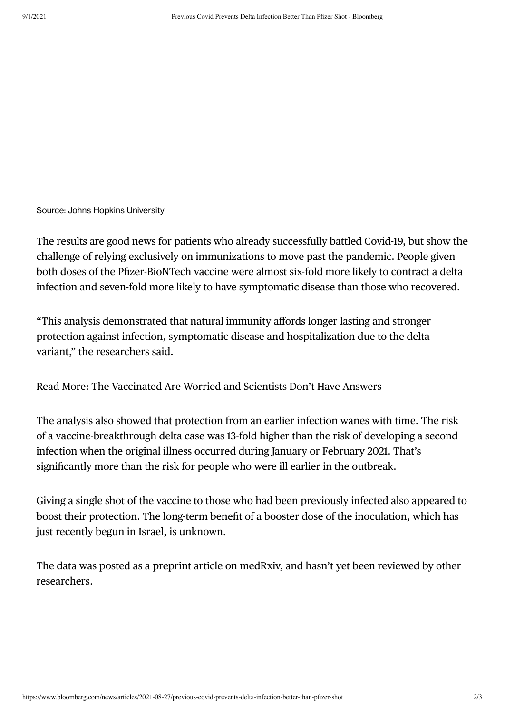Source: Johns Hopkins University

The results are good news for patients who already successfully battled Covid-19, but show the challenge of relying exclusively on immunizations to move past the pandemic. People given both doses of the Pfizer-BioNTech vaccine were almost six-fold more likely to contract a delta infection and seven-fold more likely to have symptomatic disease than those who recovered.

"This analysis demonstrated that natural immunity affords longer lasting and stronger protection against infection, symptomatic disease and hospitalization due to the delta variant," the researchers said.

## Read More: The [Vaccinated](https://www.bloomberg.com/news/articles/2021-08-21/science-can-t-keep-up-with-virus-creating-worry-for-vaccinated) Are Worried and Scientists Don't Have Answers

The analysis also showed that protection from an earlier infection wanes with time. The risk of a vaccine-breakthrough delta case was 13-fold higher than the risk of developing a second infection when the original illness occurred during January or February 2021. That's significantly more than the risk for people who were ill earlier in the outbreak.

Giving a single shot of the vaccine to those who had been previously infected also appeared to boost their protection. The long-term benefit of a booster dose of the inoculation, which has just recently begun in Israel, is unknown.

The data was posted as a preprint article on medRxiv, and hasn't yet been reviewed by other researchers.